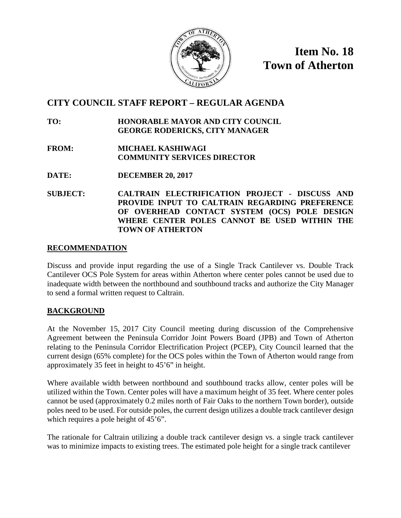

**Item No. 18 Town of Atherton**

# **CITY COUNCIL STAFF REPORT – REGULAR AGENDA**

**TO: HONORABLE MAYOR AND CITY COUNCIL GEORGE RODERICKS, CITY MANAGER**

- **FROM: MICHAEL KASHIWAGI COMMUNITY SERVICES DIRECTOR**
- **DATE: DECEMBER 20, 2017**
- **SUBJECT: CALTRAIN ELECTRIFICATION PROJECT - DISCUSS AND PROVIDE INPUT TO CALTRAIN REGARDING PREFERENCE OF OVERHEAD CONTACT SYSTEM (OCS) POLE DESIGN WHERE CENTER POLES CANNOT BE USED WITHIN THE TOWN OF ATHERTON**

#### **RECOMMENDATION**

Discuss and provide input regarding the use of a Single Track Cantilever vs. Double Track Cantilever OCS Pole System for areas within Atherton where center poles cannot be used due to inadequate width between the northbound and southbound tracks and authorize the City Manager to send a formal written request to Caltrain.

# **BACKGROUND**

At the November 15, 2017 City Council meeting during discussion of the Comprehensive Agreement between the Peninsula Corridor Joint Powers Board (JPB) and Town of Atherton relating to the Peninsula Corridor Electrification Project (PCEP), City Council learned that the current design (65% complete) for the OCS poles within the Town of Atherton would range from approximately 35 feet in height to 45'6" in height.

Where available width between northbound and southbound tracks allow, center poles will be utilized within the Town. Center poles will have a maximum height of 35 feet. Where center poles cannot be used (approximately 0.2 miles north of Fair Oaks to the northern Town border), outside poles need to be used. For outside poles, the current design utilizes a double track cantilever design which requires a pole height of 45'6".

The rationale for Caltrain utilizing a double track cantilever design vs. a single track cantilever was to minimize impacts to existing trees. The estimated pole height for a single track cantilever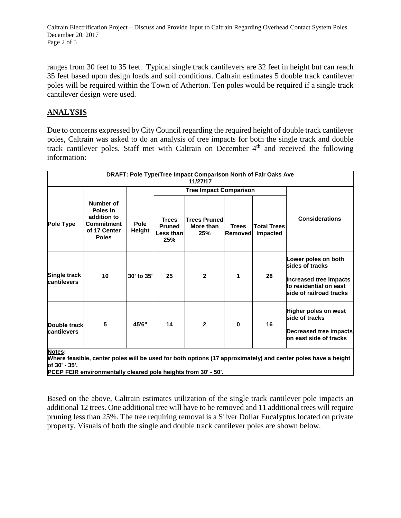Caltrain Electrification Project – Discuss and Provide Input to Caltrain Regarding Overhead Contact System Poles December 20, 2017 Page 2 of 5

ranges from 30 feet to 35 feet. Typical single track cantilevers are 32 feet in height but can reach 35 feet based upon design loads and soil conditions. Caltrain estimates 5 double track cantilever poles will be required within the Town of Atherton. Ten poles would be required if a single track cantilever design were used.

## **ANALYSIS**

Due to concerns expressed by City Council regarding the required height of double track cantilever poles, Caltrain was asked to do an analysis of tree impacts for both the single track and double track cantilever poles. Staff met with Caltrain on December 4<sup>th</sup> and received the following information:

| DRAFT: Pole Type/Tree Impact Comparison North of Fair Oaks Ave<br>11/27/17                                                               |                                                                                           |                       |                                                   |                                         |                                |                                |                                                                                                                       |
|------------------------------------------------------------------------------------------------------------------------------------------|-------------------------------------------------------------------------------------------|-----------------------|---------------------------------------------------|-----------------------------------------|--------------------------------|--------------------------------|-----------------------------------------------------------------------------------------------------------------------|
|                                                                                                                                          |                                                                                           |                       | <b>Tree Impact Comparison</b>                     |                                         |                                |                                |                                                                                                                       |
| Pole Type                                                                                                                                | Number of<br>Poles in<br>addition to<br><b>Commitment</b><br>of 17 Center<br><b>Poles</b> | <b>Pole</b><br>Height | <b>Trees</b><br><b>Pruned</b><br>Less than<br>25% | <b>Trees Pruned</b><br>More than<br>25% | <b>Trees</b><br><b>Removed</b> | <b>Total Trees</b><br>Impacted | <b>Considerations</b>                                                                                                 |
| Single track<br>cantilevers                                                                                                              | 10                                                                                        | 30' to 35'            | 25                                                | $\mathbf{2}$                            | 1                              | 28                             | Lower poles on both<br>sides of tracks<br>Increased tree impacts<br>to residential on east<br>side of railroad tracks |
| Double track<br><b>cantilevers</b>                                                                                                       | 5                                                                                         | 45'6"                 | 14                                                | $\mathbf{2}$                            | $\bf{0}$                       | 16                             | Higher poles on west<br>side of tracks<br>Decreased tree impacts<br>on east side of tracks                            |
| Notes:<br>Where feasible, center poles will be used for both options (17 approximately) and center poles have a height<br>lof 30' - 35'. |                                                                                           |                       |                                                   |                                         |                                |                                |                                                                                                                       |

**PCEP FEIR environmentally cleared pole heights from 30' - 50'.**

Based on the above, Caltrain estimates utilization of the single track cantilever pole impacts an additional 12 trees. One additional tree will have to be removed and 11 additional trees will require pruning less than 25%. The tree requiring removal is a Silver Dollar Eucalyptus located on private property. Visuals of both the single and double track cantilever poles are shown below.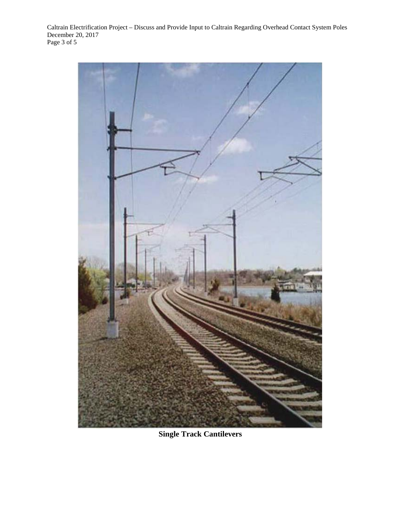Caltrain Electrification Project – Discuss and Provide Input to Caltrain Regarding Overhead Contact System Poles December 20, 2017 Page 3 of 5



**Single Track Cantilevers**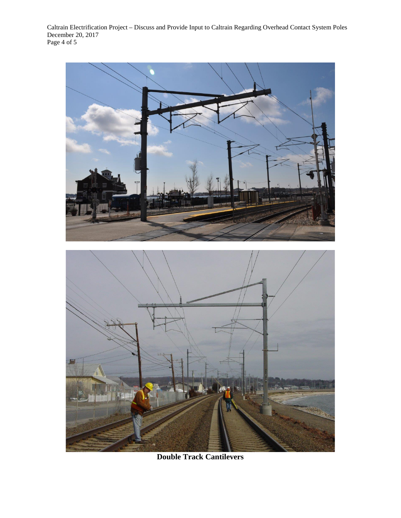Caltrain Electrification Project – Discuss and Provide Input to Caltrain Regarding Overhead Contact System Poles December 20, 2017 Page 4 of 5



**Double Track Cantilevers**